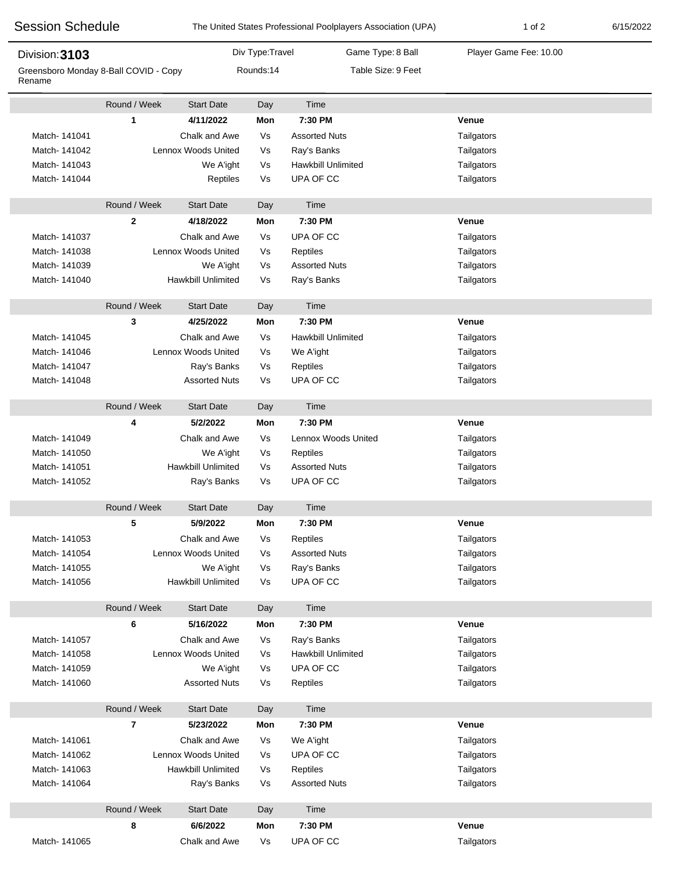| <b>Session Schedule</b><br>Division: 3103       |                           |                      |                 | The United States Professional Poolplayers Association (UPA) | $1$ of $2$             | 6/15/2022 |
|-------------------------------------------------|---------------------------|----------------------|-----------------|--------------------------------------------------------------|------------------------|-----------|
|                                                 |                           |                      | Div Type:Travel | Game Type: 8 Ball                                            | Player Game Fee: 10.00 |           |
| Greensboro Monday 8-Ball COVID - Copy<br>Rename |                           |                      | Rounds:14       | Table Size: 9 Feet                                           |                        |           |
|                                                 | Round / Week              | <b>Start Date</b>    | Day             | Time                                                         |                        |           |
|                                                 | 1                         | 4/11/2022            | Mon             | 7:30 PM                                                      | Venue                  |           |
| Match-141041                                    |                           | Chalk and Awe        | Vs              | <b>Assorted Nuts</b>                                         | Tailgators             |           |
| Match-141042                                    |                           | Lennox Woods United  | Vs              | Ray's Banks                                                  | Tailgators             |           |
| Match-141043                                    |                           | We A'ight            | Vs              | <b>Hawkbill Unlimited</b>                                    | Tailgators             |           |
| Match-141044                                    |                           | Reptiles             | Vs              | UPA OF CC                                                    | Tailgators             |           |
|                                                 | Round / Week              | <b>Start Date</b>    | Day             | Time                                                         |                        |           |
|                                                 | $\mathbf{2}$              | 4/18/2022            | Mon             | 7:30 PM                                                      | Venue                  |           |
| Match-141037                                    |                           | Chalk and Awe        | Vs              | UPA OF CC                                                    | Tailgators             |           |
| Match-141038                                    | Lennox Woods United       |                      | Vs              | Reptiles                                                     | Tailgators             |           |
| Match- 141039                                   | We A'ight                 |                      | Vs              | <b>Assorted Nuts</b>                                         | Tailgators             |           |
| Match-141040                                    | <b>Hawkbill Unlimited</b> |                      | Vs              | Ray's Banks                                                  | Tailgators             |           |
|                                                 | Round / Week              | <b>Start Date</b>    | Day             | Time                                                         |                        |           |
|                                                 | 3                         | 4/25/2022            | Mon             | 7:30 PM                                                      | Venue                  |           |
| Match-141045                                    |                           | Chalk and Awe        | Vs              | <b>Hawkbill Unlimited</b>                                    | Tailgators             |           |
| Match-141046                                    |                           | Lennox Woods United  | Vs              | We A'ight                                                    | Tailgators             |           |
| Match-141047                                    |                           | Ray's Banks          | Vs              | Reptiles                                                     | Tailgators             |           |
| Match-141048                                    |                           | <b>Assorted Nuts</b> | Vs              | UPA OF CC                                                    | Tailgators             |           |
|                                                 | Round / Week              | <b>Start Date</b>    | Day             | Time                                                         |                        |           |
|                                                 | 4                         | 5/2/2022             | Mon             | 7:30 PM                                                      | Venue                  |           |
| Match-141049                                    |                           | Chalk and Awe        | Vs              | Lennox Woods United                                          | Tailgators             |           |
| Match-141050                                    | We A'ight                 |                      | Vs              | Reptiles                                                     | Tailgators             |           |
| Match-141051                                    |                           | Hawkbill Unlimited   | Vs              | <b>Assorted Nuts</b>                                         | Tailgators             |           |
| Match-141052                                    |                           | Ray's Banks          | Vs              | UPA OF CC                                                    | Tailgators             |           |
|                                                 | Round / Week              | <b>Start Date</b>    | Day             | Time                                                         |                        |           |
|                                                 | 5                         | 5/9/2022             | Mon             | 7:30 PM                                                      | Venue                  |           |
| Match-141053                                    |                           | Chalk and Awe        | Vs              | Reptiles                                                     | Tailgators             |           |
| Match-141054                                    |                           | Lennox Woods United  | Vs              | <b>Assorted Nuts</b>                                         | Tailgators             |           |
| Match-141055                                    |                           | We A'ight            | Vs              | Ray's Banks                                                  | Tailgators             |           |
| Match-141056                                    |                           | Hawkbill Unlimited   | Vs              | UPA OF CC                                                    | Tailgators             |           |
|                                                 | Round / Week              | <b>Start Date</b>    | Day             | Time                                                         |                        |           |
|                                                 | 6                         | 5/16/2022            | Mon             | 7:30 PM                                                      | Venue                  |           |
| Match-141057                                    |                           | Chalk and Awe        | Vs              | Ray's Banks                                                  | Tailgators             |           |
| Match-141058                                    |                           | Lennox Woods United  | Vs              | <b>Hawkbill Unlimited</b>                                    | Tailgators             |           |
| Match- 141059                                   |                           | We A'ight            | Vs              | UPA OF CC                                                    | Tailgators             |           |
| Match- 141060                                   |                           | <b>Assorted Nuts</b> | Vs              | Reptiles                                                     | Tailgators             |           |
|                                                 | Round / Week              | <b>Start Date</b>    | Day             | Time                                                         |                        |           |
|                                                 | 7                         | 5/23/2022            | Mon             | 7:30 PM                                                      | Venue                  |           |
| Match-141061                                    |                           | Chalk and Awe        | Vs              | We A'ight                                                    | Tailgators             |           |
| Match-141062                                    | Lennox Woods United       |                      | Vs              | UPA OF CC                                                    | Tailgators             |           |
| Match-141063                                    | Hawkbill Unlimited        |                      | Vs              | Reptiles                                                     | Tailgators             |           |
| Match- 141064                                   |                           | Ray's Banks          | Vs              | <b>Assorted Nuts</b>                                         | Tailgators             |           |
|                                                 | Round / Week              | <b>Start Date</b>    | Day             | Time                                                         |                        |           |
|                                                 | 8                         | 6/6/2022             | Mon             | 7:30 PM                                                      | Venue                  |           |
| Match-141065                                    |                           | Chalk and Awe        | Vs              | UPA OF CC                                                    | Tailgators             |           |
|                                                 |                           |                      |                 |                                                              |                        |           |